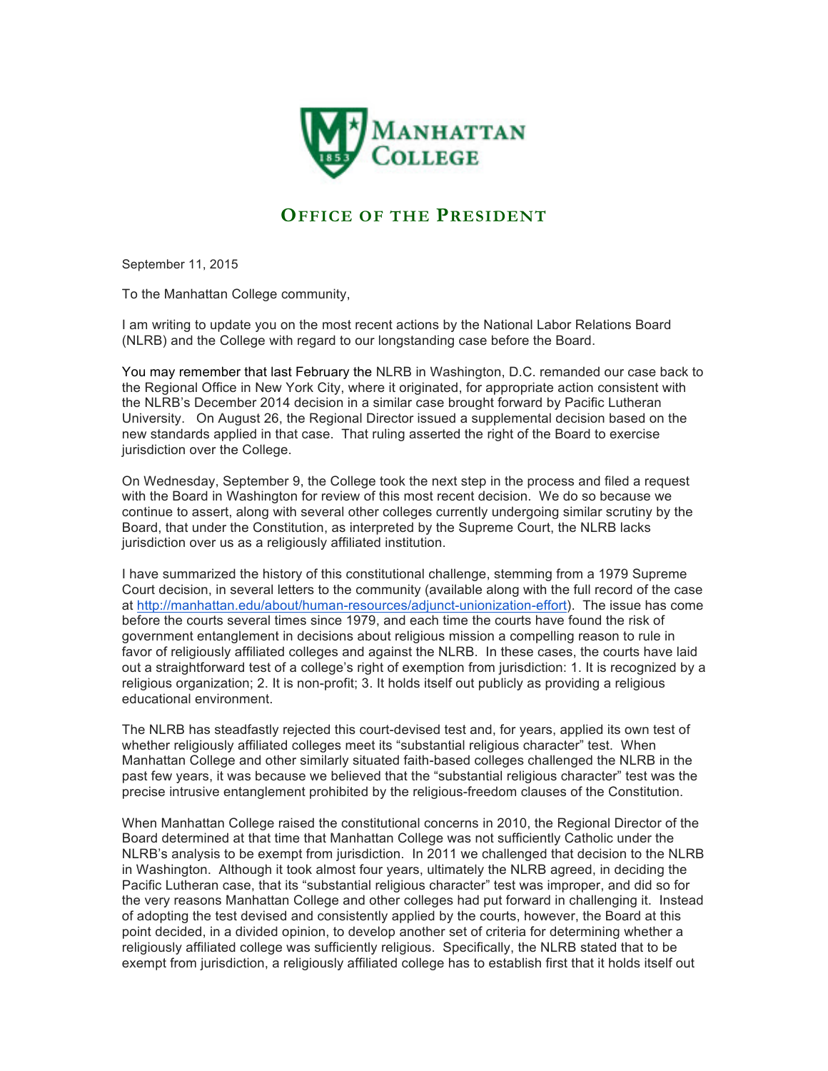

## **OFFICE OF THE PRESIDENT**

September 11, 2015

To the Manhattan College community,

I am writing to update you on the most recent actions by the National Labor Relations Board (NLRB) and the College with regard to our longstanding case before the Board.

You may remember that last February the NLRB in Washington, D.C. remanded our case back to the Regional Office in New York City, where it originated, for appropriate action consistent with the NLRB's December 2014 decision in a similar case brought forward by Pacific Lutheran University. On August 26, the Regional Director issued a supplemental decision based on the new standards applied in that case. That ruling asserted the right of the Board to exercise jurisdiction over the College.

On Wednesday, September 9, the College took the next step in the process and filed a request with the Board in Washington for review of this most recent decision. We do so because we continue to assert, along with several other colleges currently undergoing similar scrutiny by the Board, that under the Constitution, as interpreted by the Supreme Court, the NLRB lacks jurisdiction over us as a religiously affiliated institution.

I have summarized the history of this constitutional challenge, stemming from a 1979 Supreme Court decision, in several letters to the community (available along with the full record of the case at http://manhattan.edu/about/human-resources/adjunct-unionization-effort). The issue has come before the courts several times since 1979, and each time the courts have found the risk of government entanglement in decisions about religious mission a compelling reason to rule in favor of religiously affiliated colleges and against the NLRB. In these cases, the courts have laid out a straightforward test of a college's right of exemption from jurisdiction: 1. It is recognized by a religious organization; 2. It is non-profit; 3. It holds itself out publicly as providing a religious educational environment.

The NLRB has steadfastly rejected this court-devised test and, for years, applied its own test of whether religiously affiliated colleges meet its "substantial religious character" test. When Manhattan College and other similarly situated faith-based colleges challenged the NLRB in the past few years, it was because we believed that the "substantial religious character" test was the precise intrusive entanglement prohibited by the religious-freedom clauses of the Constitution.

When Manhattan College raised the constitutional concerns in 2010, the Regional Director of the Board determined at that time that Manhattan College was not sufficiently Catholic under the NLRB's analysis to be exempt from jurisdiction. In 2011 we challenged that decision to the NLRB in Washington. Although it took almost four years, ultimately the NLRB agreed, in deciding the Pacific Lutheran case, that its "substantial religious character" test was improper, and did so for the very reasons Manhattan College and other colleges had put forward in challenging it. Instead of adopting the test devised and consistently applied by the courts, however, the Board at this point decided, in a divided opinion, to develop another set of criteria for determining whether a religiously affiliated college was sufficiently religious. Specifically, the NLRB stated that to be exempt from jurisdiction, a religiously affiliated college has to establish first that it holds itself out